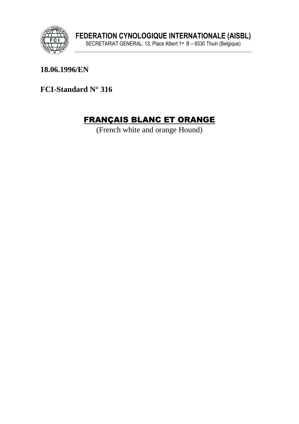

18.06.1996/EN

FCI-Standard N° 316

# **FRANÇAIS BLANC ET ORANGE**

(French white and orange Hound)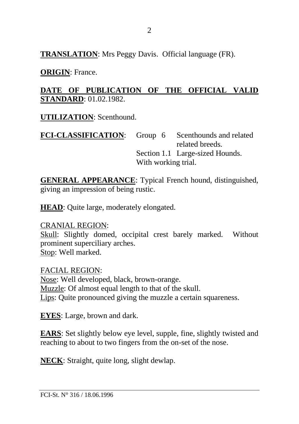**TRANSLATION**: Mrs Peggy Davis. Official language (FR).

**ORIGIN**: France.

#### **DATE OF PUBLICATION OF THE OFFICIAL VALID STANDARD**: 01.02.1982.

**UTILIZATION**: Scenthound.

FCI-CLASSIFICATION: Group 6 Scenthounds and related related breeds. Section 1.1 Large-sized Hounds. With working trial.

**GENERAL APPEARANCE**: Typical French hound, distinguished, giving an impression of being rustic.

**HEAD**: Quite large, moderately elongated.

CRANIAL REGION: Skull: Slightly domed, occipital crest barely marked. Without prominent superciliary arches. Stop: Well marked.

FACIAL REGION: Nose: Well developed, black, brown-orange. Muzzle: Of almost equal length to that of the skull. Lips: Quite pronounced giving the muzzle a certain squareness.

**EYES**: Large, brown and dark.

**EARS**: Set slightly below eye level, supple, fine, slightly twisted and reaching to about to two fingers from the on-set of the nose.

**NECK**: Straight, quite long, slight dewlap.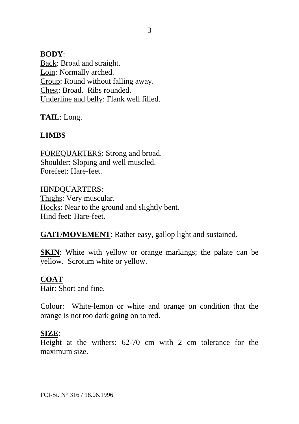#### **BODY**:

Back: Broad and straight. Loin: Normally arched. Croup: Round without falling away. Chest: Broad. Ribs rounded. Underline and belly: Flank well filled.

**TAIL**: Long.

## **LIMBS**

FOREQUARTERS: Strong and broad. Shoulder: Sloping and well muscled. Forefeet: Hare-feet.

HINDQUARTERS: Thighs: Very muscular. Hocks: Near to the ground and slightly bent. Hind feet: Hare-feet.

**GAIT/MOVEMENT**: Rather easy, gallop light and sustained.

**SKIN:** White with yellow or orange markings; the palate can be yellow. Scrotum white or yellow.

#### **COAT**

Hair: Short and fine.

Colour: White-lemon or white and orange on condition that the orange is not too dark going on to red.

#### **SIZE**:

Height at the withers: 62-70 cm with 2 cm tolerance for the maximum size.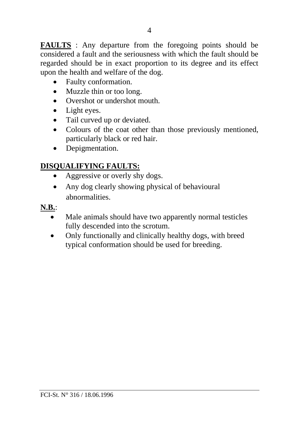**FAULTS** : Any departure from the foregoing points should be considered a fault and the seriousness with which the fault should be regarded should be in exact proportion to its degree and its effect upon the health and welfare of the dog.

- Faulty conformation.
- Muzzle thin or too long.
- Overshot or undershot mouth.
- Light eyes.
- Tail curved up or deviated.
- Colours of the coat other than those previously mentioned, particularly black or red hair.
- Depigmentation.

## **DISQUALIFYING FAULTS:**

- Aggressive or overly shy dogs.
- Any dog clearly showing physical of behavioural abnormalities.

### **N.B.**:

- Male animals should have two apparently normal testicles fully descended into the scrotum.
- Only functionally and clinically healthy dogs, with breed typical conformation should be used for breeding.